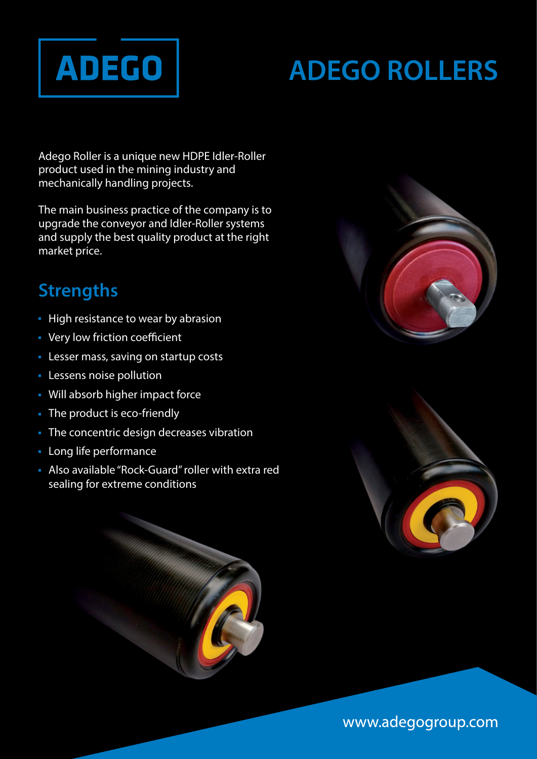

# **ADEGO ROLLERS**

Adego Roller is a unique new HDPE Idler-Roller product used in the mining industry and mechanically handling projects.

The main business practice of the company is to upgrade the conveyor and Idler-Roller systems and supply the best quality product at the right market price.

# **Strengths**

- **High resistance to wear by abrasion**
- Very low friction coefficient
- **Lesser mass, saving on startup costs**
- **Lessens noise pollution**
- Will absorb higher impact force
- The product is eco-friendly
- The concentric design decreases vibration
- **Long life performance**
- Also available "Rock-Guard" roller with extra red sealing for extreme conditions







www.adegogroup.com